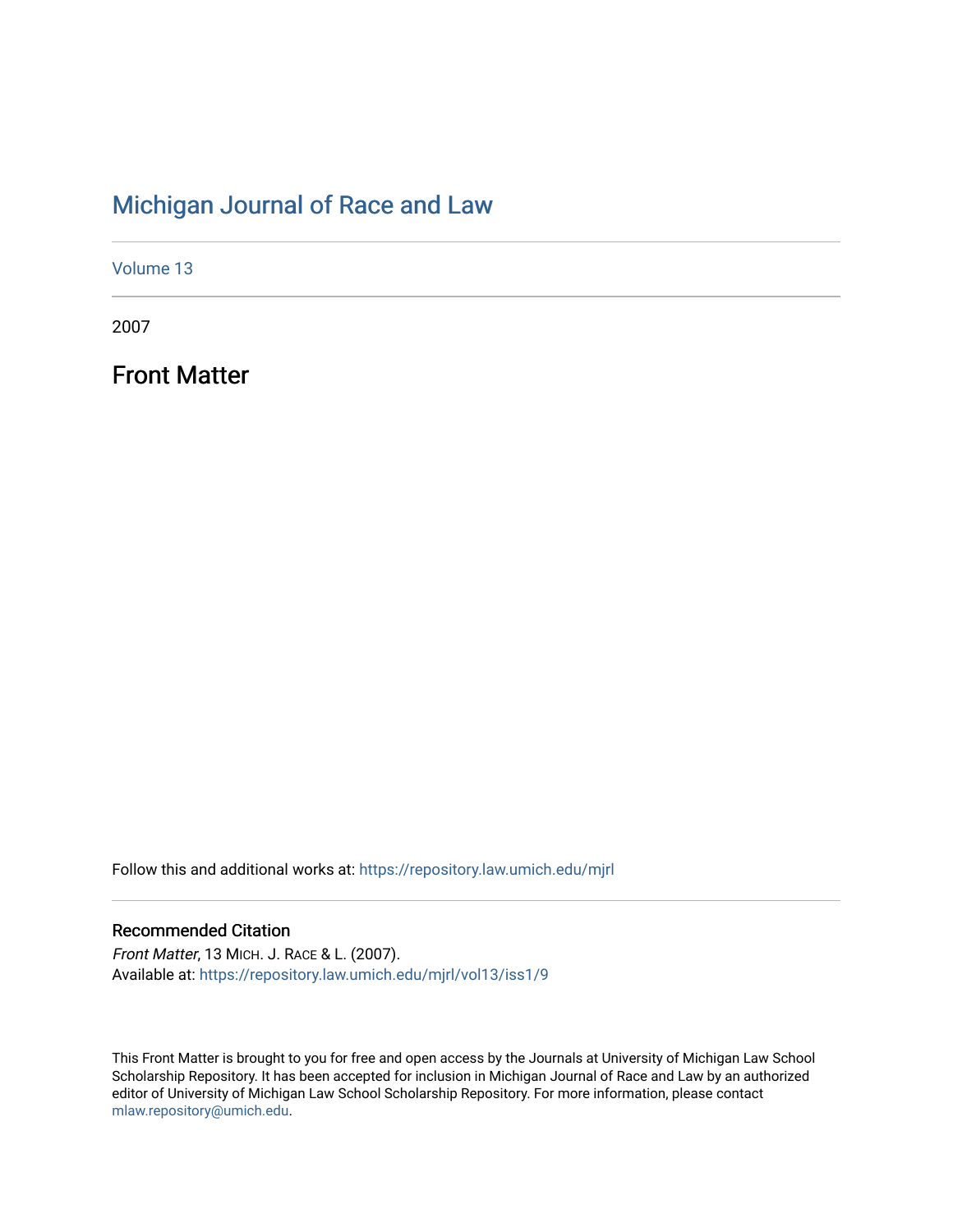## [Michigan Journal of Race and Law](https://repository.law.umich.edu/mjrl)

[Volume 13](https://repository.law.umich.edu/mjrl/vol13)

2007

Front Matter

Follow this and additional works at: [https://repository.law.umich.edu/mjrl](https://repository.law.umich.edu/mjrl?utm_source=repository.law.umich.edu%2Fmjrl%2Fvol13%2Fiss1%2F9&utm_medium=PDF&utm_campaign=PDFCoverPages) 

#### Recommended Citation

Front Matter, 13 MICH. J. RACE & L. (2007). Available at: [https://repository.law.umich.edu/mjrl/vol13/iss1/9](https://repository.law.umich.edu/mjrl/vol13/iss1/9?utm_source=repository.law.umich.edu%2Fmjrl%2Fvol13%2Fiss1%2F9&utm_medium=PDF&utm_campaign=PDFCoverPages) 

This Front Matter is brought to you for free and open access by the Journals at University of Michigan Law School Scholarship Repository. It has been accepted for inclusion in Michigan Journal of Race and Law by an authorized editor of University of Michigan Law School Scholarship Repository. For more information, please contact [mlaw.repository@umich.edu.](mailto:mlaw.repository@umich.edu)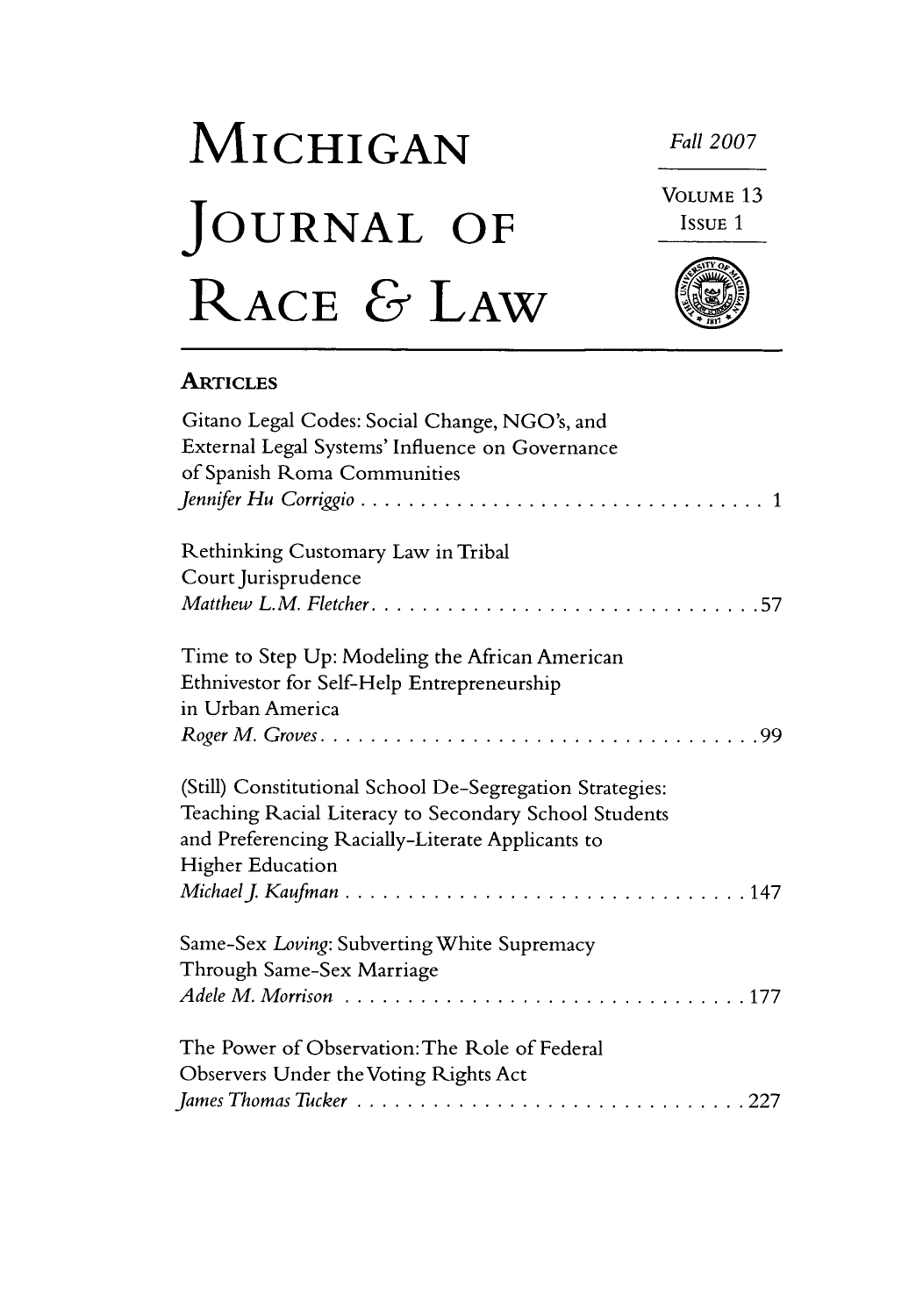# MICHIGAN Fall 2007 VOLUME<sub>13</sub> JOURNAL OF Issue 1 RACE & LAW

### **ARTICLES**

| Gitano Legal Codes: Social Change, NGO's, and            |
|----------------------------------------------------------|
| External Legal Systems' Influence on Governance          |
| of Spanish Roma Communities                              |
|                                                          |
| Rethinking Customary Law in Tribal                       |
| Court Jurisprudence                                      |
|                                                          |
| Time to Step Up: Modeling the African American           |
| Ethnivestor for Self-Help Entrepreneurship               |
| in Urban America                                         |
|                                                          |
| (Still) Constitutional School De-Segregation Strategies: |
| Teaching Racial Literacy to Secondary School Students    |
| and Preferencing Racially-Literate Applicants to         |
| <b>Higher Education</b>                                  |
|                                                          |
| Same-Sex Loving: Subverting White Supremacy              |
| Through Same-Sex Marriage                                |
|                                                          |
| The Power of Observation: The Role of Federal            |
| Observers Under the Voting Rights Act                    |
|                                                          |
|                                                          |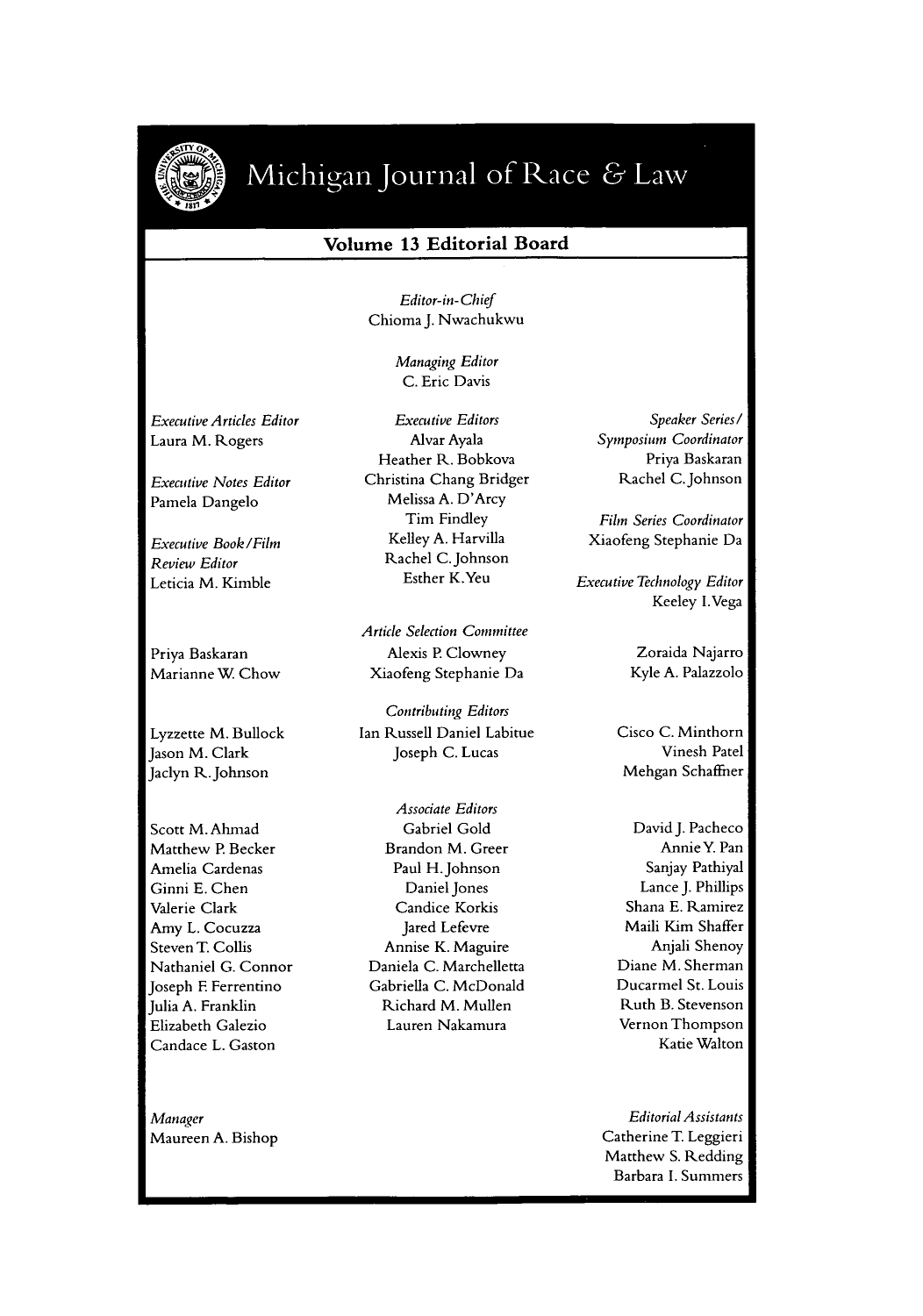

## Michigan Journal of Race & Law

#### **Volume 13 Editorial Board**

Editor-in-Chief Chioma **J.** Nwachukwu

> Managing Editor C. Eric Davis

Executive Articles Editor Laura M. Rogers

Executive Notes Editor Pamela Dangelo

Executive Book/Film Review Editor Leticia M. Kimble

Priya Baskaran Marianne W. Chow

Lyzzette M. Bullock Jason M. Clark Jaclyn R. Johnson

Scott M. Ahmad Matthew P. Becker Amelia Cardenas Ginni E. Chen Valerie Clark Amy L. Cocuzza Steven T. Collis Nathaniel G. Connor Joseph F. Ferrentino Julia A. Franklin Elizabeth Galezio Candace L. Gaston

Executive Editors Alvar Ayala Heather R. Bobkova Christina Chang Bridger Melissa A. D'Arcy Tim Findley Kelley A. Harvilla Rachel C. Johnson Esther K.Yeu

Article Selection Committee Alexis P. Clowney Xiaofeng Stephanie Da

Contributing Editors Ian Russell Daniel Labitue Joseph C. Lucas

Associate Editors Gabriel Gold Brandon M. Greer Paul H.Johnson Daniel Jones Candice Korkis Jared Lefevre Annise K. Maguire Daniela C. Marchelletta Gabriella C. McDonald Richard M. Mullen Lauren Nakamura

Speaker Series */* Symposium Coordinator Priya Baskaran Rachel C.Johnson

Film Series Coordinator Xiaofeng Stephanie Da

Executive Technology Editor Keeley I.Vega

> Zoraida Najarro Kyle A. Palazzolo

Cisco C. Minthorn Vinesh Patel Mehgan Schaffner

David J. Pacheco Annie Y. Pan Sanjay Pathiyal Lance **J.** Phillips Shana E. Ramirez Maili Kim Shaffer Anjali Shenoy Diane M. Sherman Ducarmel St. Louis Ruth B. Stevenson Vernon Thompson Katie Walton

Editorial Assistants Catherine T. Leggieri Matthew S. Redding Barbara I. Summers

Manager Maureen A. Bishop